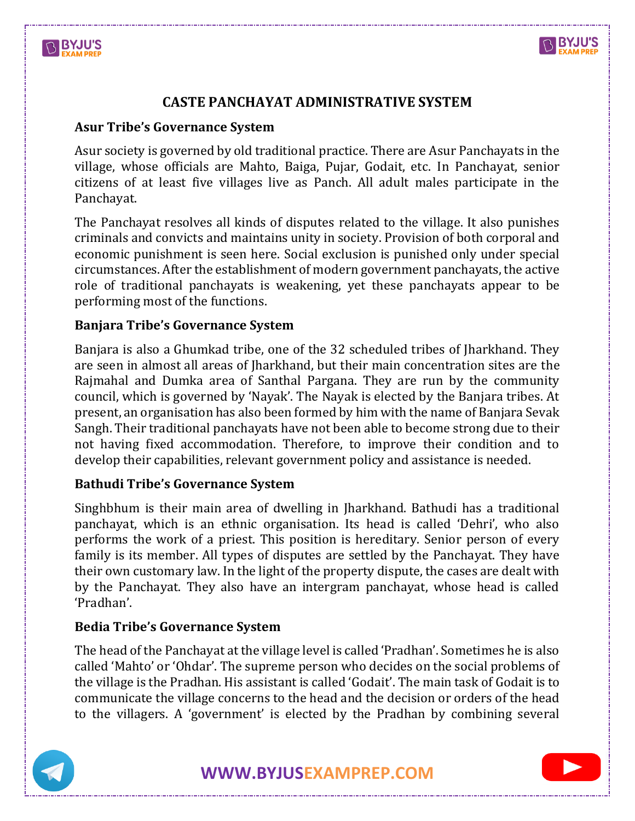



# **CASTE PANCHAYAT ADMINISTRATIVE SYSTEM**

# **Asur Tribe's Governance System**

Asur society is governed by old traditional practice. There are Asur Panchayats in the village, whose officials are Mahto, Baiga, Pujar, Godait, etc. In Panchayat, senior citizens of at least five villages live as Panch. All adult males participate in the Panchayat.

The Panchayat resolves all kinds of disputes related to the village. It also punishes criminals and convicts and maintains unity in society. Provision of both corporal and economic punishment is seen here. Social exclusion is punished only under special circumstances. After the establishment of modern government panchayats, the active role of traditional panchayats is weakening, yet these panchayats appear to be performing most of the functions.

## **Banjara Tribe's Governance System**

Banjara is also a Ghumkad tribe, one of the 32 scheduled tribes of Jharkhand. They are seen in almost all areas of Jharkhand, but their main concentration sites are the Rajmahal and Dumka area of Santhal Pargana. They are run by the community council, which is governed by 'Nayak'. The Nayak is elected by the Banjara tribes. At present, an organisation has also been formed by him with the name of Banjara Sevak Sangh. Their traditional panchayats have not been able to become strong due to their not having fixed accommodation. Therefore, to improve their condition and to develop their capabilities, relevant government policy and assistance is needed.

## **Bathudi Tribe's Governance System**

Singhbhum is their main area of dwelling in Jharkhand. Bathudi has a traditional panchayat, which is an ethnic organisation. Its head is called 'Dehri', who also performs the work of a priest. This position is hereditary. Senior person of every family is its member. All types of disputes are settled by the Panchayat. They have their own customary law. In the light of the property dispute, the cases are dealt with by the Panchayat. They also have an intergram panchayat, whose head is called 'Pradhan'.

## **Bedia Tribe's Governance System**

The head of the Panchayat at the village level is called 'Pradhan'. Sometimes he is also called 'Mahto' or 'Ohdar'. The supreme person who decides on the social problems of the village is the Pradhan. His assistant is called 'Godait'. The main task of Godait is to communicate the village concerns to the head and the decision or orders of the head to the villagers. A 'government' is elected by the Pradhan by combining several



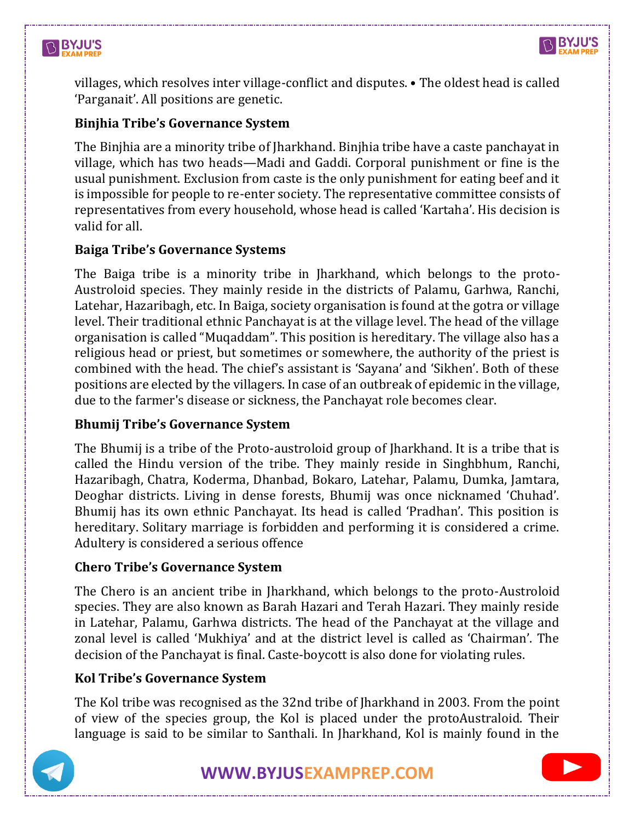



villages, which resolves inter village-conflict and disputes. • The oldest head is called 'Parganait'. All positions are genetic.

### **Binjhia Tribe's Governance System**

The Binjhia are a minority tribe of Jharkhand. Binjhia tribe have a caste panchayat in village, which has two heads—Madi and Gaddi. Corporal punishment or fine is the usual punishment. Exclusion from caste is the only punishment for eating beef and it is impossible for people to re-enter society. The representative committee consists of representatives from every household, whose head is called 'Kartaha'. His decision is valid for all.

#### **Baiga Tribe's Governance Systems**

The Baiga tribe is a minority tribe in Jharkhand, which belongs to the proto-Austroloid species. They mainly reside in the districts of Palamu, Garhwa, Ranchi, Latehar, Hazaribagh, etc. In Baiga, society organisation is found at the gotra or village level. Their traditional ethnic Panchayat is at the village level. The head of the village organisation is called "Muqaddam". This position is hereditary. The village also has a religious head or priest, but sometimes or somewhere, the authority of the priest is combined with the head. The chief's assistant is 'Sayana' and 'Sikhen'. Both of these positions are elected by the villagers. In case of an outbreak of epidemic in the village, due to the farmer's disease or sickness, the Panchayat role becomes clear.

#### **Bhumij Tribe's Governance System**

The Bhumij is a tribe of the Proto-austroloid group of Jharkhand. It is a tribe that is called the Hindu version of the tribe. They mainly reside in Singhbhum, Ranchi, Hazaribagh, Chatra, Koderma, Dhanbad, Bokaro, Latehar, Palamu, Dumka, Jamtara, Deoghar districts. Living in dense forests, Bhumij was once nicknamed 'Chuhad'. Bhumij has its own ethnic Panchayat. Its head is called 'Pradhan'. This position is hereditary. Solitary marriage is forbidden and performing it is considered a crime. Adultery is considered a serious offence

#### **Chero Tribe's Governance System**

The Chero is an ancient tribe in Jharkhand, which belongs to the proto-Austroloid species. They are also known as Barah Hazari and Terah Hazari. They mainly reside in Latehar, Palamu, Garhwa districts. The head of the Panchayat at the village and zonal level is called 'Mukhiya' and at the district level is called as 'Chairman'. The decision of the Panchayat is final. Caste-boycott is also done for violating rules.

#### **Kol Tribe's Governance System**

The Kol tribe was recognised as the 32nd tribe of Jharkhand in 2003. From the point of view of the species group, the Kol is placed under the protoAustraloid. Their language is said to be similar to Santhali. In Jharkhand, Kol is mainly found in the